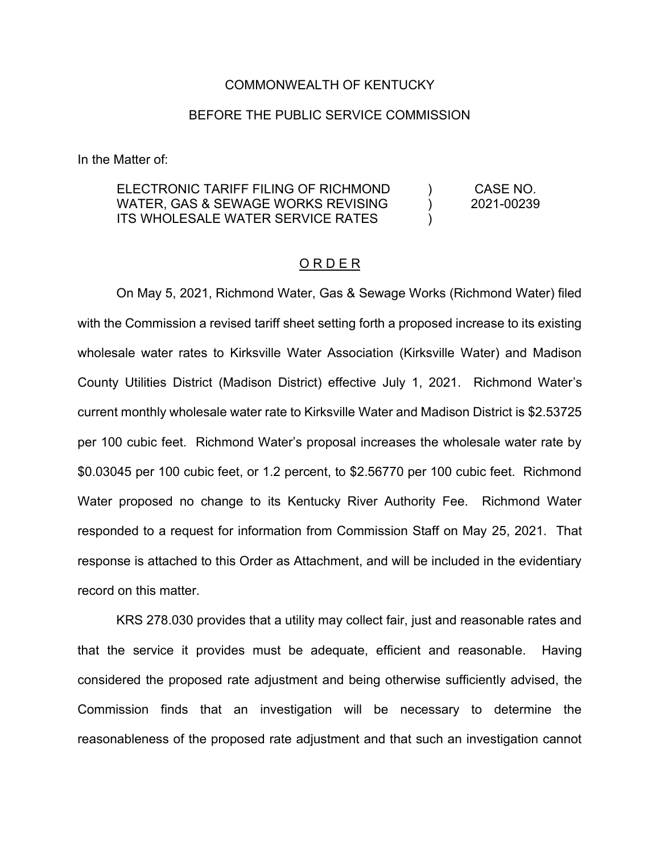#### COMMONWEALTH OF KENTUCKY

#### BEFORE THE PUBLIC SERVICE COMMISSION

In the Matter of:

#### ELECTRONIC TARIFF FILING OF RICHMOND WATER, GAS & SEWAGE WORKS REVISING ITS WHOLESALE WATER SERVICE RATES  $\left( \right)$  $\lambda$  $\lambda$ CASE NO. 2021-00239

#### O R D E R

On May 5, 2021, Richmond Water, Gas & Sewage Works (Richmond Water) filed with the Commission a revised tariff sheet setting forth a proposed increase to its existing wholesale water rates to Kirksville Water Association (Kirksville Water) and Madison County Utilities District (Madison District) effective July 1, 2021. Richmond Water's current monthly wholesale water rate to Kirksville Water and Madison District is \$2.53725 per 100 cubic feet. Richmond Water's proposal increases the wholesale water rate by \$0.03045 per 100 cubic feet, or 1.2 percent, to \$2.56770 per 100 cubic feet. Richmond Water proposed no change to its Kentucky River Authority Fee. Richmond Water responded to a request for information from Commission Staff on May 25, 2021. That response is attached to this Order as Attachment, and will be included in the evidentiary record on this matter.

KRS 278.030 provides that a utility may collect fair, just and reasonable rates and that the service it provides must be adequate, efficient and reasonable. Having considered the proposed rate adjustment and being otherwise sufficiently advised, the Commission finds that an investigation will be necessary to determine the reasonableness of the proposed rate adjustment and that such an investigation cannot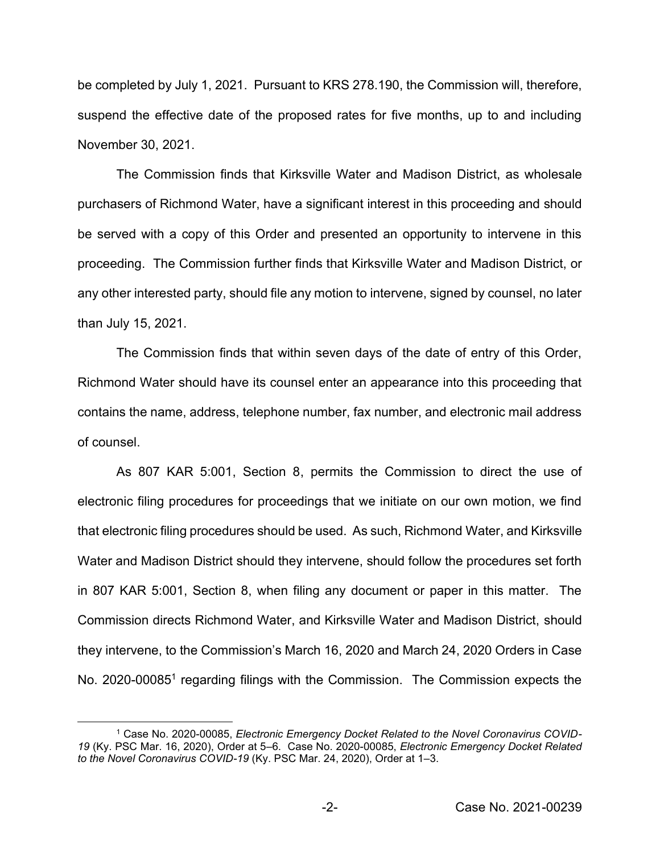be completed by July 1, 2021. Pursuant to KRS 278.190, the Commission will, therefore, suspend the effective date of the proposed rates for five months, up to and including November 30, 2021.

The Commission finds that Kirksville Water and Madison District, as wholesale purchasers of Richmond Water, have a significant interest in this proceeding and should be served with a copy of this Order and presented an opportunity to intervene in this proceeding. The Commission further finds that Kirksville Water and Madison District, or any other interested party, should file any motion to intervene, signed by counsel, no later than July 15, 2021.

The Commission finds that within seven days of the date of entry of this Order, Richmond Water should have its counsel enter an appearance into this proceeding that contains the name, address, telephone number, fax number, and electronic mail address of counsel.

As 807 KAR 5:001, Section 8, permits the Commission to direct the use of electronic filing procedures for proceedings that we initiate on our own motion, we find that electronic filing procedures should be used. As such, Richmond Water, and Kirksville Water and Madison District should they intervene, should follow the procedures set forth in 807 KAR 5:001, Section 8, when filing any document or paper in this matter. The Commission directs Richmond Water, and Kirksville Water and Madison District, should they intervene, to the Commission's March 16, 2020 and March 24, 2020 Orders in Case No. 2020-00085<sup>1</sup> regarding filings with the Commission. The Commission expects the

<sup>1</sup> Case No. 2020-00085, *Electronic Emergency Docket Related to the Novel Coronavirus COVID-19* (Ky. PSC Mar. 16, 2020), Order at 5–6. Case No. 2020-00085, *Electronic Emergency Docket Related to the Novel Coronavirus COVID-19* (Ky. PSC Mar. 24, 2020), Order at 1–3.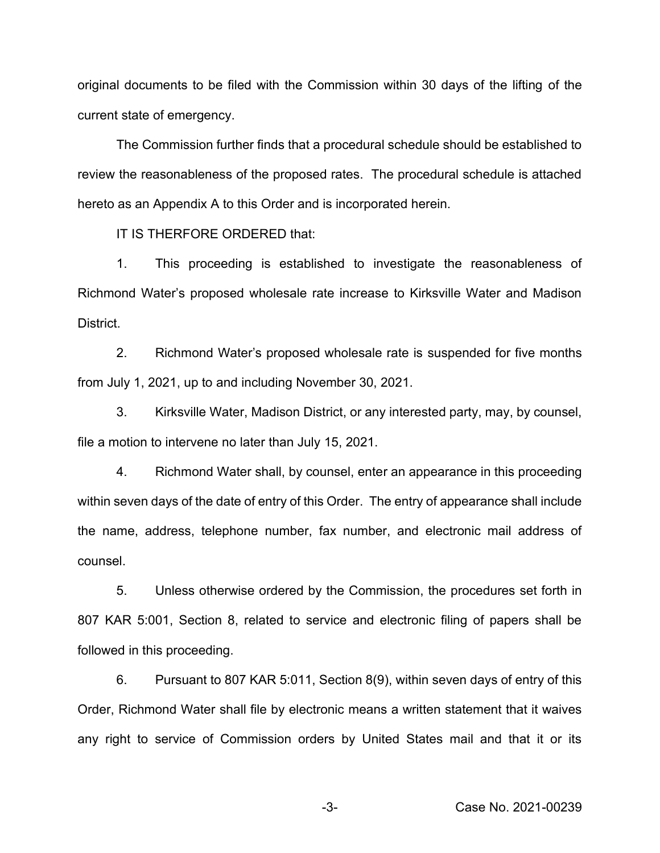original documents to be filed with the Commission within 30 days of the lifting of the current state of emergency.

The Commission further finds that a procedural schedule should be established to review the reasonableness of the proposed rates. The procedural schedule is attached hereto as an Appendix A to this Order and is incorporated herein.

IT IS THERFORE ORDERED that:

1. This proceeding is established to investigate the reasonableness of Richmond Water's proposed wholesale rate increase to Kirksville Water and Madison District.

2. Richmond Water's proposed wholesale rate is suspended for five months from July 1, 2021, up to and including November 30, 2021.

3. Kirksville Water, Madison District, or any interested party, may, by counsel, file a motion to intervene no later than July 15, 2021.

4. Richmond Water shall, by counsel, enter an appearance in this proceeding within seven days of the date of entry of this Order. The entry of appearance shall include the name, address, telephone number, fax number, and electronic mail address of counsel.

5. Unless otherwise ordered by the Commission, the procedures set forth in 807 KAR 5:001, Section 8, related to service and electronic filing of papers shall be followed in this proceeding.

6. Pursuant to 807 KAR 5:011, Section 8(9), within seven days of entry of this Order, Richmond Water shall file by electronic means a written statement that it waives any right to service of Commission orders by United States mail and that it or its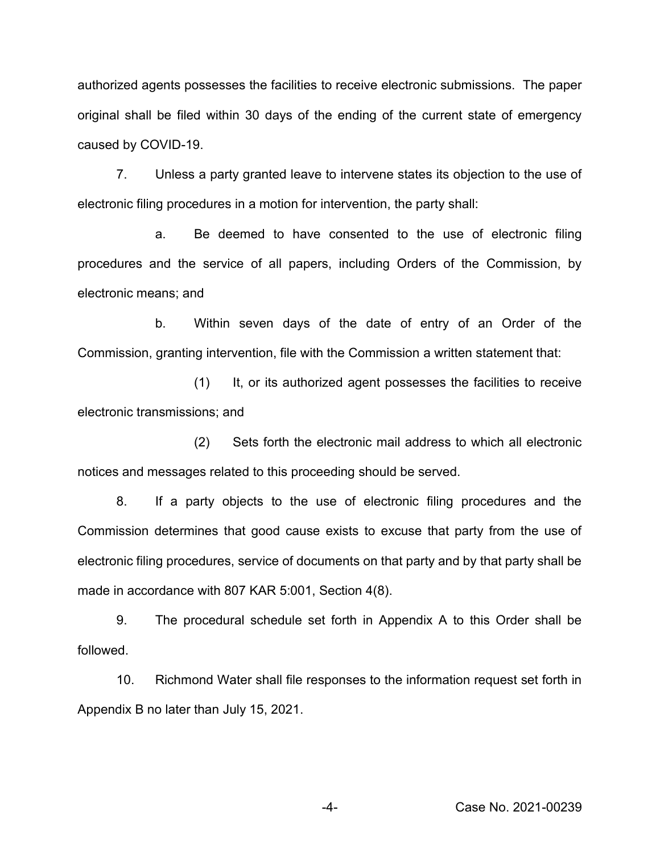authorized agents possesses the facilities to receive electronic submissions. The paper original shall be filed within 30 days of the ending of the current state of emergency caused by COVID-19.

7. Unless a party granted leave to intervene states its objection to the use of electronic filing procedures in a motion for intervention, the party shall:

a. Be deemed to have consented to the use of electronic filing procedures and the service of all papers, including Orders of the Commission, by electronic means; and

b. Within seven days of the date of entry of an Order of the Commission, granting intervention, file with the Commission a written statement that:

(1) It, or its authorized agent possesses the facilities to receive electronic transmissions; and

(2) Sets forth the electronic mail address to which all electronic notices and messages related to this proceeding should be served.

8. If a party objects to the use of electronic filing procedures and the Commission determines that good cause exists to excuse that party from the use of electronic filing procedures, service of documents on that party and by that party shall be made in accordance with 807 KAR 5:001, Section 4(8).

9. The procedural schedule set forth in Appendix A to this Order shall be followed.

10. Richmond Water shall file responses to the information request set forth in Appendix B no later than July 15, 2021.

-4- Case No. 2021-00239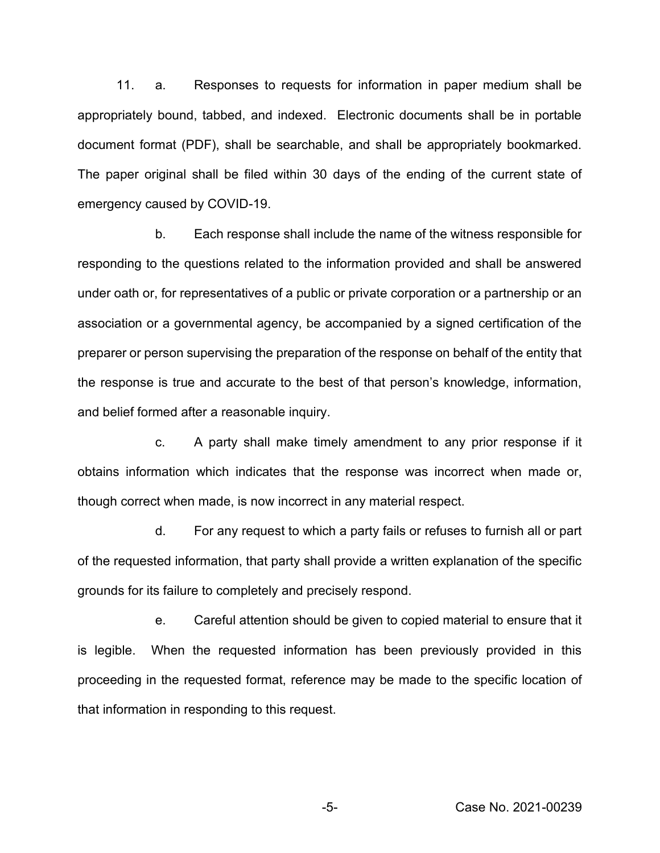11. a. Responses to requests for information in paper medium shall be appropriately bound, tabbed, and indexed. Electronic documents shall be in portable document format (PDF), shall be searchable, and shall be appropriately bookmarked. The paper original shall be filed within 30 days of the ending of the current state of emergency caused by COVID-19.

b. Each response shall include the name of the witness responsible for responding to the questions related to the information provided and shall be answered under oath or, for representatives of a public or private corporation or a partnership or an association or a governmental agency, be accompanied by a signed certification of the preparer or person supervising the preparation of the response on behalf of the entity that the response is true and accurate to the best of that person's knowledge, information, and belief formed after a reasonable inquiry.

c. A party shall make timely amendment to any prior response if it obtains information which indicates that the response was incorrect when made or, though correct when made, is now incorrect in any material respect.

d. For any request to which a party fails or refuses to furnish all or part of the requested information, that party shall provide a written explanation of the specific grounds for its failure to completely and precisely respond.

e. Careful attention should be given to copied material to ensure that it is legible. When the requested information has been previously provided in this proceeding in the requested format, reference may be made to the specific location of that information in responding to this request.

-5- Case No. 2021-00239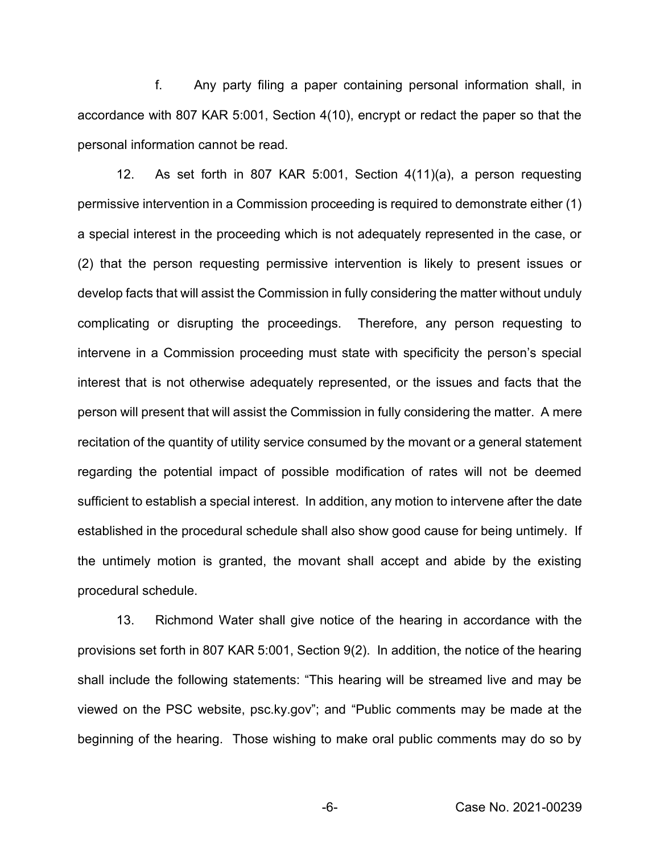f. Any party filing a paper containing personal information shall, in accordance with 807 KAR 5:001, Section 4(10), encrypt or redact the paper so that the personal information cannot be read.

12. As set forth in 807 KAR 5:001, Section 4(11)(a), a person requesting permissive intervention in a Commission proceeding is required to demonstrate either (1) a special interest in the proceeding which is not adequately represented in the case, or (2) that the person requesting permissive intervention is likely to present issues or develop facts that will assist the Commission in fully considering the matter without unduly complicating or disrupting the proceedings. Therefore, any person requesting to intervene in a Commission proceeding must state with specificity the person's special interest that is not otherwise adequately represented, or the issues and facts that the person will present that will assist the Commission in fully considering the matter. A mere recitation of the quantity of utility service consumed by the movant or a general statement regarding the potential impact of possible modification of rates will not be deemed sufficient to establish a special interest. In addition, any motion to intervene after the date established in the procedural schedule shall also show good cause for being untimely. If the untimely motion is granted, the movant shall accept and abide by the existing procedural schedule.

13. Richmond Water shall give notice of the hearing in accordance with the provisions set forth in 807 KAR 5:001, Section 9(2). In addition, the notice of the hearing shall include the following statements: "This hearing will be streamed live and may be viewed on the PSC website, psc.ky.gov"; and "Public comments may be made at the beginning of the hearing. Those wishing to make oral public comments may do so by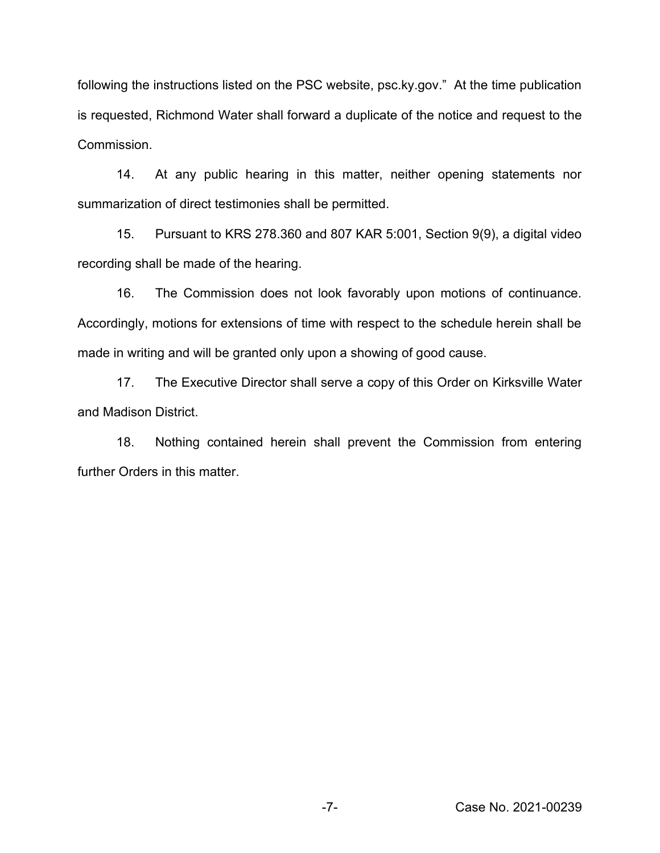following the instructions listed on the PSC website, psc.ky.gov." At the time publication is requested, Richmond Water shall forward a duplicate of the notice and request to the Commission.

14. At any public hearing in this matter, neither opening statements nor summarization of direct testimonies shall be permitted.

15. Pursuant to KRS 278.360 and 807 KAR 5:001, Section 9(9), a digital video recording shall be made of the hearing.

16. The Commission does not look favorably upon motions of continuance. Accordingly, motions for extensions of time with respect to the schedule herein shall be made in writing and will be granted only upon a showing of good cause.

17. The Executive Director shall serve a copy of this Order on Kirksville Water and Madison District.

18. Nothing contained herein shall prevent the Commission from entering further Orders in this matter.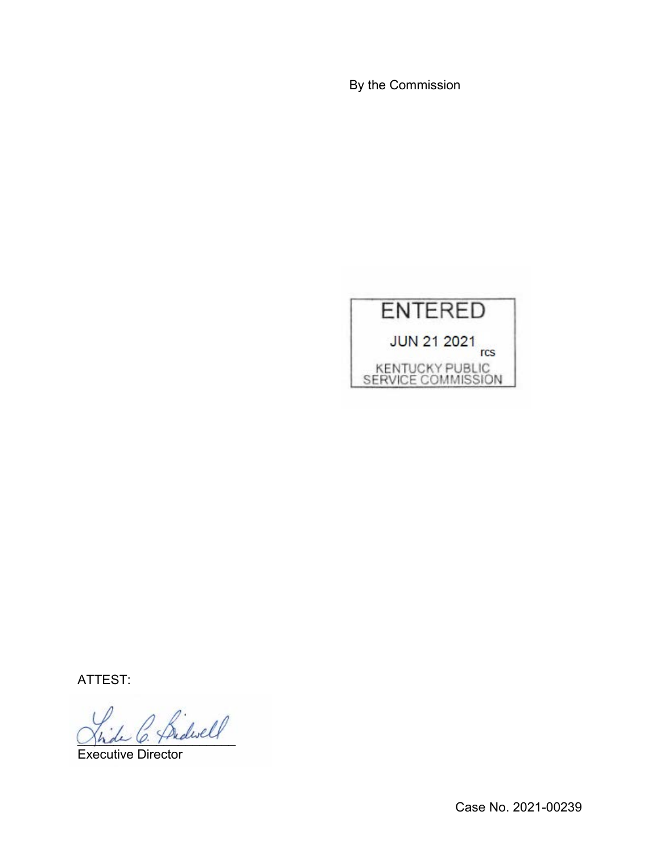By the Commission



ATTEST:

 $^{\prime}$  fridwell

Executive Director

Case No. 2021-00239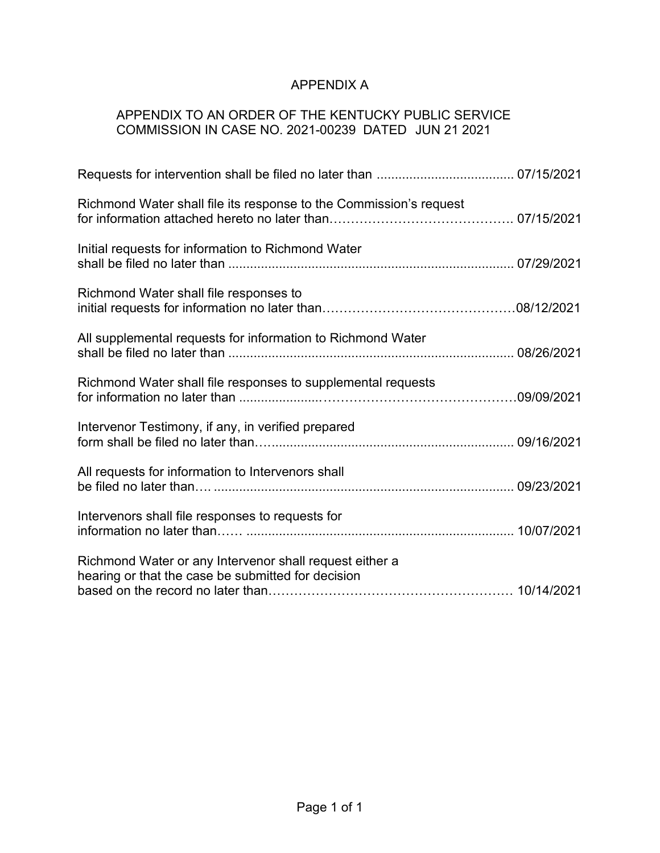# APPENDIX A

## APPENDIX TO AN ORDER OF THE KENTUCKY PUBLIC SERVICE COMMISSION IN CASE NO. 2021-00239 DATED JUN 21 2021

| Richmond Water shall file its response to the Commission's request                                            |  |
|---------------------------------------------------------------------------------------------------------------|--|
| Initial requests for information to Richmond Water                                                            |  |
| Richmond Water shall file responses to                                                                        |  |
| All supplemental requests for information to Richmond Water                                                   |  |
| Richmond Water shall file responses to supplemental requests                                                  |  |
| Intervenor Testimony, if any, in verified prepared                                                            |  |
| All requests for information to Intervenors shall                                                             |  |
| Intervenors shall file responses to requests for                                                              |  |
| Richmond Water or any Intervenor shall request either a<br>hearing or that the case be submitted for decision |  |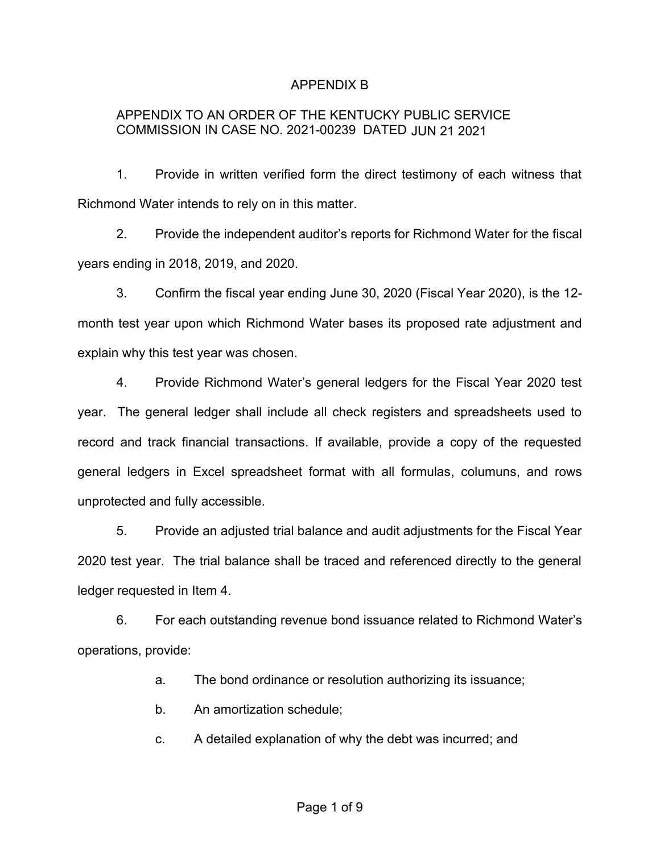#### APPENDIX B

#### APPENDIX TO AN ORDER OF THE KENTUCKY PUBLIC SERVICE COMMISSION IN CASE NO. 2021-00239 DATED JUN 21 2021

1. Provide in written verified form the direct testimony of each witness that Richmond Water intends to rely on in this matter.

2. Provide the independent auditor's reports for Richmond Water for the fiscal years ending in 2018, 2019, and 2020.

3. Confirm the fiscal year ending June 30, 2020 (Fiscal Year 2020), is the 12 month test year upon which Richmond Water bases its proposed rate adjustment and explain why this test year was chosen.

4. Provide Richmond Water's general ledgers for the Fiscal Year 2020 test year. The general ledger shall include all check registers and spreadsheets used to record and track financial transactions. If available, provide a copy of the requested general ledgers in Excel spreadsheet format with all formulas, columuns, and rows unprotected and fully accessible.

5. Provide an adjusted trial balance and audit adjustments for the Fiscal Year 2020 test year. The trial balance shall be traced and referenced directly to the general ledger requested in Item 4.

6. For each outstanding revenue bond issuance related to Richmond Water's operations, provide:

a. The bond ordinance or resolution authorizing its issuance;

b. An amortization schedule;

c. A detailed explanation of why the debt was incurred; and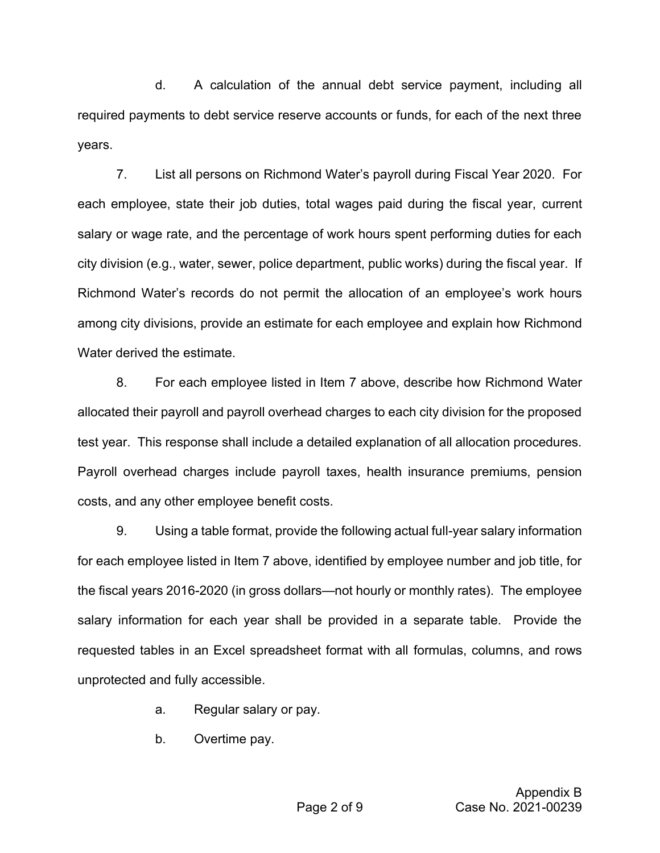d. A calculation of the annual debt service payment, including all required payments to debt service reserve accounts or funds, for each of the next three years.

7. List all persons on Richmond Water's payroll during Fiscal Year 2020. For each employee, state their job duties, total wages paid during the fiscal year, current salary or wage rate, and the percentage of work hours spent performing duties for each city division (e.g., water, sewer, police department, public works) during the fiscal year. If Richmond Water's records do not permit the allocation of an employee's work hours among city divisions, provide an estimate for each employee and explain how Richmond Water derived the estimate.

8. For each employee listed in Item 7 above, describe how Richmond Water allocated their payroll and payroll overhead charges to each city division for the proposed test year. This response shall include a detailed explanation of all allocation procedures. Payroll overhead charges include payroll taxes, health insurance premiums, pension costs, and any other employee benefit costs.

9. Using a table format, provide the following actual full-year salary information for each employee listed in Item 7 above, identified by employee number and job title, for the fiscal years 2016-2020 (in gross dollars—not hourly or monthly rates). The employee salary information for each year shall be provided in a separate table. Provide the requested tables in an Excel spreadsheet format with all formulas, columns, and rows unprotected and fully accessible.

- a. Regular salary or pay.
- b. Overtime pay.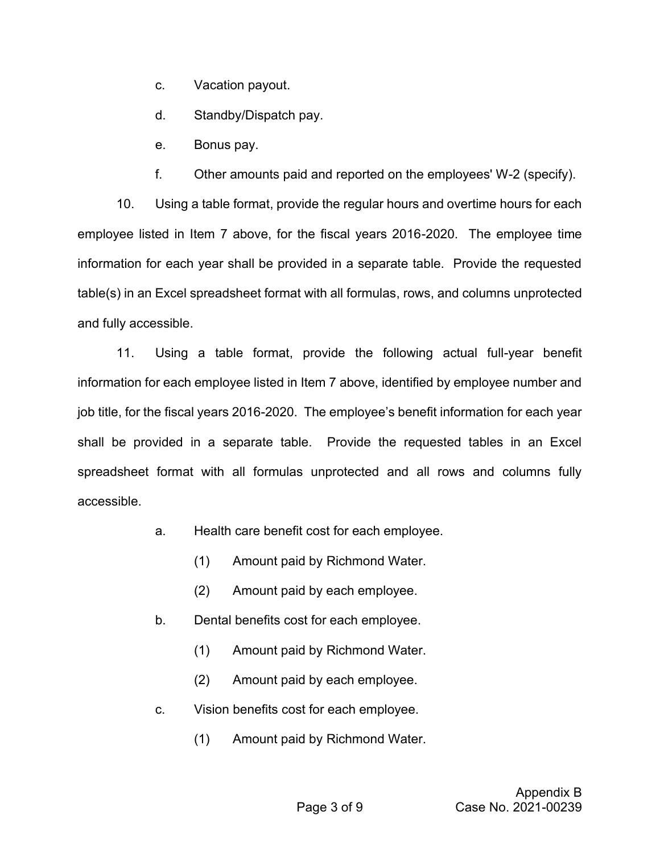c. Vacation payout.

d. Standby/Dispatch pay.

e. Bonus pay.

f. Other amounts paid and reported on the employees' W-2 (specify).

10. Using a table format, provide the regular hours and overtime hours for each employee listed in Item 7 above, for the fiscal years 2016-2020. The employee time information for each year shall be provided in a separate table. Provide the requested table(s) in an Excel spreadsheet format with all formulas, rows, and columns unprotected and fully accessible.

11. Using a table format, provide the following actual full-year benefit information for each employee listed in Item 7 above, identified by employee number and job title, for the fiscal years 2016-2020. The employee's benefit information for each year shall be provided in a separate table. Provide the requested tables in an Excel spreadsheet format with all formulas unprotected and all rows and columns fully accessible.

- a. Health care benefit cost for each employee.
	- (1) Amount paid by Richmond Water.
	- (2) Amount paid by each employee.
- b. Dental benefits cost for each employee.
	- (1) Amount paid by Richmond Water.
	- (2) Amount paid by each employee.
- c. Vision benefits cost for each employee.
	- (1) Amount paid by Richmond Water.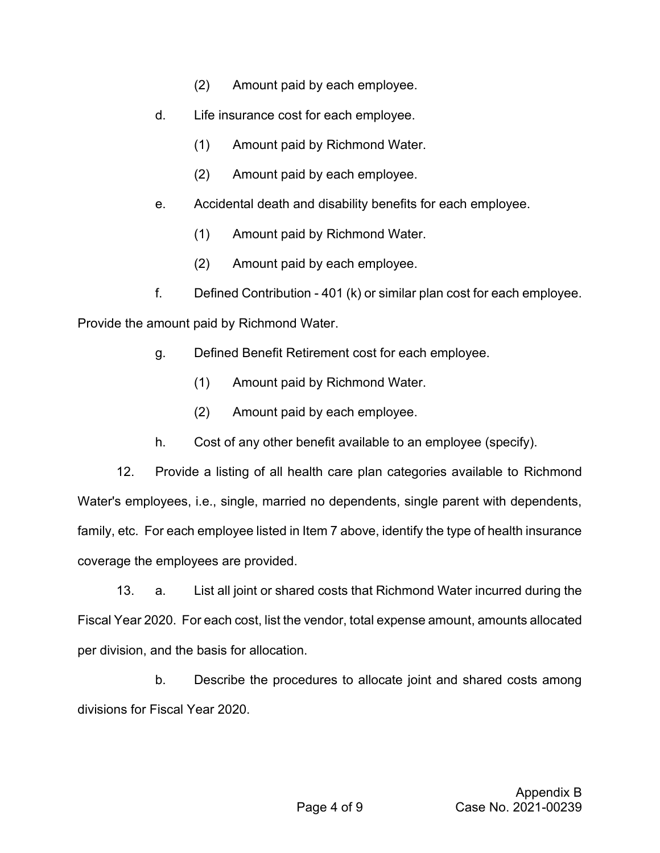- (2) Amount paid by each employee.
- d. Life insurance cost for each employee.
	- (1) Amount paid by Richmond Water.
	- (2) Amount paid by each employee.
- e. Accidental death and disability benefits for each employee.
	- (1) Amount paid by Richmond Water.
	- (2) Amount paid by each employee.
- f. Defined Contribution 401 (k) or similar plan cost for each employee.

Provide the amount paid by Richmond Water.

- g. Defined Benefit Retirement cost for each employee.
	- (1) Amount paid by Richmond Water.
	- (2) Amount paid by each employee.
- h. Cost of any other benefit available to an employee (specify).

12. Provide a listing of all health care plan categories available to Richmond Water's employees, i.e., single, married no dependents, single parent with dependents, family, etc. For each employee listed in Item 7 above, identify the type of health insurance coverage the employees are provided.

13. a. List all joint or shared costs that Richmond Water incurred during the Fiscal Year 2020. For each cost, list the vendor, total expense amount, amounts allocated per division, and the basis for allocation.

b. Describe the procedures to allocate joint and shared costs among divisions for Fiscal Year 2020.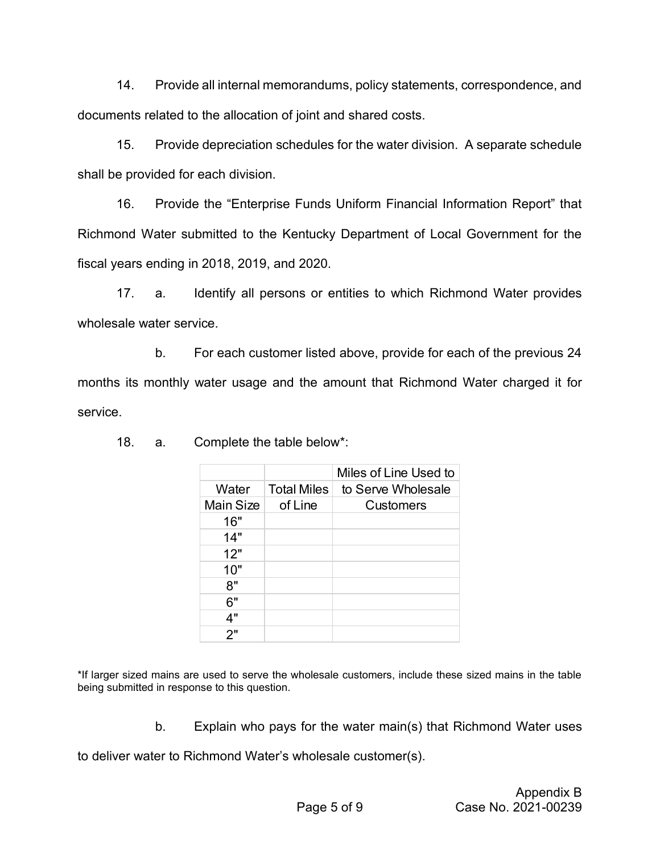14. Provide all internal memorandums, policy statements, correspondence, and documents related to the allocation of joint and shared costs.

15. Provide depreciation schedules for the water division. A separate schedule shall be provided for each division.

16. Provide the "Enterprise Funds Uniform Financial Information Report" that Richmond Water submitted to the Kentucky Department of Local Government for the fiscal years ending in 2018, 2019, and 2020.

17. a. Identify all persons or entities to which Richmond Water provides wholesale water service.

b. For each customer listed above, provide for each of the previous 24 months its monthly water usage and the amount that Richmond Water charged it for service.

|                  |                    | Miles of Line Used to |
|------------------|--------------------|-----------------------|
| Water            | <b>Total Miles</b> | to Serve Wholesale    |
| <b>Main Size</b> | of Line            | <b>Customers</b>      |
| 16"              |                    |                       |
| 14"              |                    |                       |
| 12"              |                    |                       |
| 10"              |                    |                       |
| 8"               |                    |                       |
| 6"               |                    |                       |
| 4"               |                    |                       |
| 2"               |                    |                       |

18. a. Complete the table below\*:

\*If larger sized mains are used to serve the wholesale customers, include these sized mains in the table being submitted in response to this question.

b. Explain who pays for the water main(s) that Richmond Water uses

to deliver water to Richmond Water's wholesale customer(s).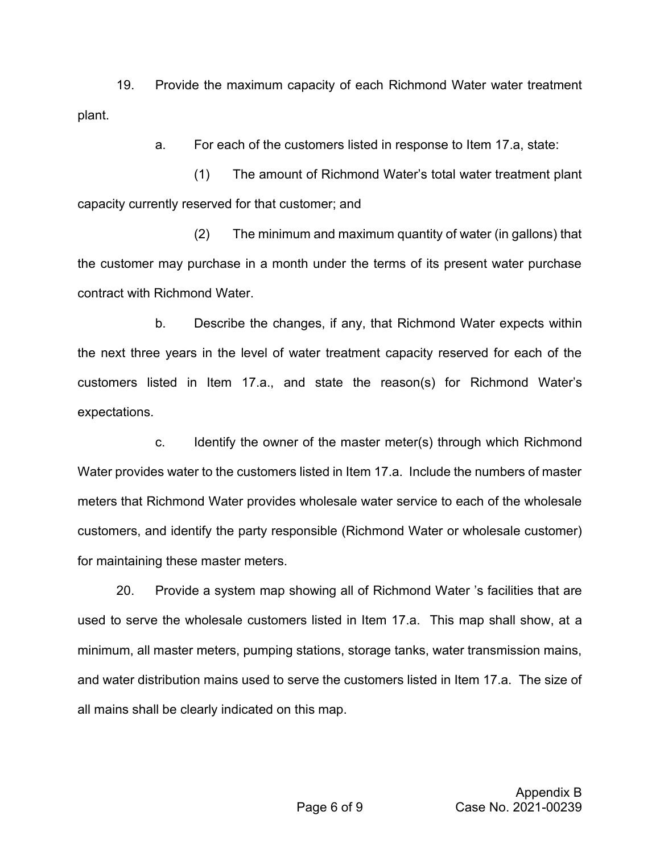19. Provide the maximum capacity of each Richmond Water water treatment plant.

a. For each of the customers listed in response to Item 17.a, state:

(1) The amount of Richmond Water's total water treatment plant capacity currently reserved for that customer; and

(2) The minimum and maximum quantity of water (in gallons) that the customer may purchase in a month under the terms of its present water purchase contract with Richmond Water.

b. Describe the changes, if any, that Richmond Water expects within the next three years in the level of water treatment capacity reserved for each of the customers listed in Item 17.a., and state the reason(s) for Richmond Water's expectations.

c. Identify the owner of the master meter(s) through which Richmond Water provides water to the customers listed in Item 17.a. Include the numbers of master meters that Richmond Water provides wholesale water service to each of the wholesale customers, and identify the party responsible (Richmond Water or wholesale customer) for maintaining these master meters.

20. Provide a system map showing all of Richmond Water 's facilities that are used to serve the wholesale customers listed in Item 17.a. This map shall show, at a minimum, all master meters, pumping stations, storage tanks, water transmission mains, and water distribution mains used to serve the customers listed in Item 17.a. The size of all mains shall be clearly indicated on this map.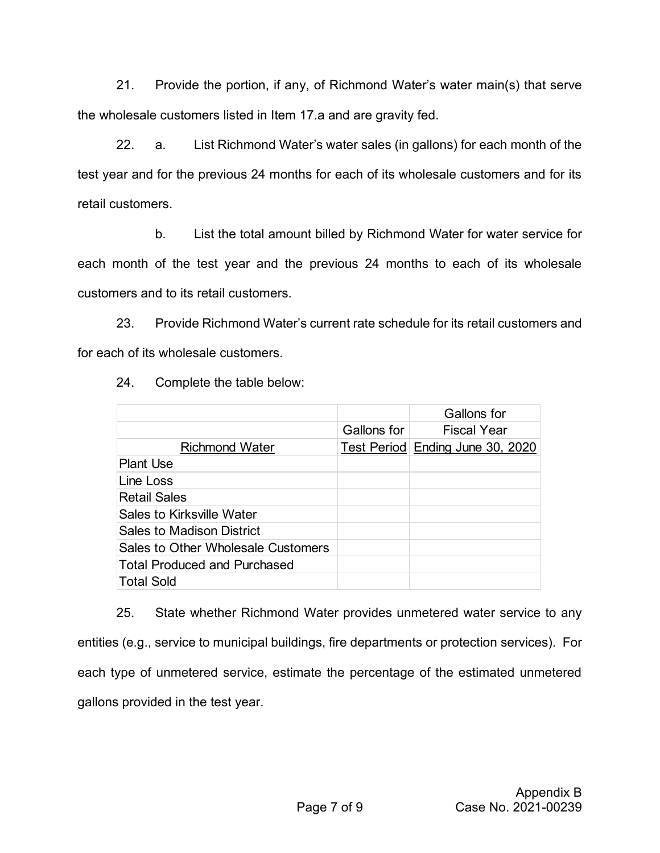21. Provide the portion, if any, of Richmond Water's water main(s) that serve the wholesale customers listed in Item 17.a and are gravity fed.

22. a. List Richmond Water's water sales (in gallons) for each month of the test year and for the previous 24 months for each of its wholesale customers and for its retail customers.

b. List the total amount billed by Richmond Water for water service for each month of the test year and the previous 24 months to each of its wholesale customers and to its retail customers.

23. Provide Richmond Water's current rate schedule for its retail customers and for each of its wholesale customers.

|                                     |             | Gallons for                      |
|-------------------------------------|-------------|----------------------------------|
|                                     | Gallons for | <b>Fiscal Year</b>               |
| <b>Richmond Water</b>               |             | Test Period Ending June 30, 2020 |
| <b>Plant Use</b>                    |             |                                  |
| Line Loss                           |             |                                  |
| <b>Retail Sales</b>                 |             |                                  |
| Sales to Kirksville Water           |             |                                  |
| <b>Sales to Madison District</b>    |             |                                  |
| Sales to Other Wholesale Customers  |             |                                  |
| <b>Total Produced and Purchased</b> |             |                                  |
| <b>Total Sold</b>                   |             |                                  |

24. Complete the table below:

25. State whether Richmond Water provides unmetered water service to any entities (e.g., service to municipal buildings, fire departments or protection services). For each type of unmetered service, estimate the percentage of the estimated unmetered gallons provided in the test year.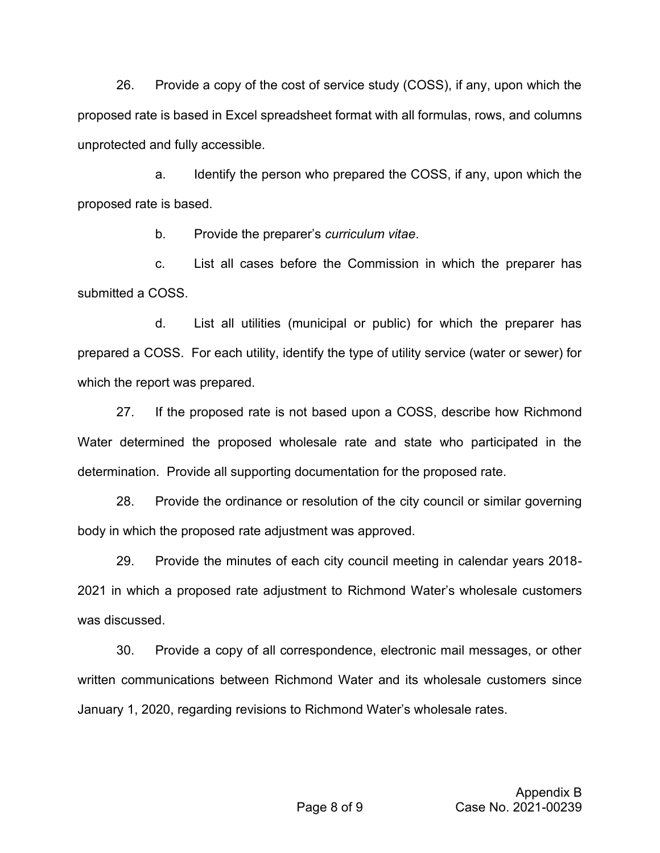26. Provide a copy of the cost of service study (COSS), if any, upon which the proposed rate is based in Excel spreadsheet format with all formulas, rows, and columns unprotected and fully accessible.

a. Identify the person who prepared the COSS, if any, upon which the proposed rate is based.

b. Provide the preparer's *curriculum vitae*.

c. List all cases before the Commission in which the preparer has submitted a COSS.

d. List all utilities (municipal or public) for which the preparer has prepared a COSS. For each utility, identify the type of utility service (water or sewer) for which the report was prepared.

27. If the proposed rate is not based upon a COSS, describe how Richmond Water determined the proposed wholesale rate and state who participated in the determination. Provide all supporting documentation for the proposed rate.

28. Provide the ordinance or resolution of the city council or similar governing body in which the proposed rate adjustment was approved.

29. Provide the minutes of each city council meeting in calendar years 2018- 2021 in which a proposed rate adjustment to Richmond Water's wholesale customers was discussed.

30. Provide a copy of all correspondence, electronic mail messages, or other written communications between Richmond Water and its wholesale customers since January 1, 2020, regarding revisions to Richmond Water's wholesale rates.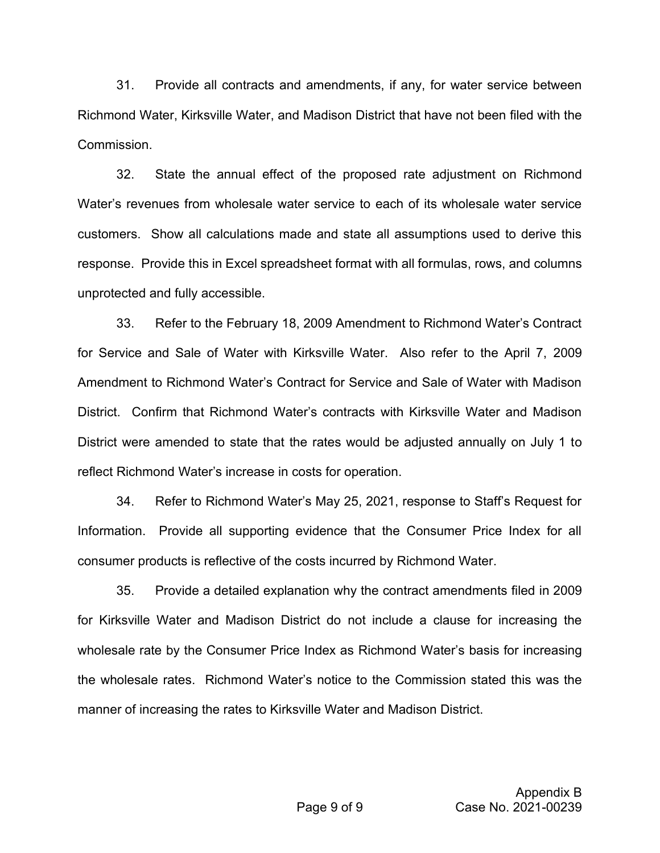31. Provide all contracts and amendments, if any, for water service between Richmond Water, Kirksville Water, and Madison District that have not been filed with the Commission.

32. State the annual effect of the proposed rate adjustment on Richmond Water's revenues from wholesale water service to each of its wholesale water service customers. Show all calculations made and state all assumptions used to derive this response. Provide this in Excel spreadsheet format with all formulas, rows, and columns unprotected and fully accessible.

33. Refer to the February 18, 2009 Amendment to Richmond Water's Contract for Service and Sale of Water with Kirksville Water. Also refer to the April 7, 2009 Amendment to Richmond Water's Contract for Service and Sale of Water with Madison District. Confirm that Richmond Water's contracts with Kirksville Water and Madison District were amended to state that the rates would be adjusted annually on July 1 to reflect Richmond Water's increase in costs for operation.

34. Refer to Richmond Water's May 25, 2021, response to Staff's Request for Information. Provide all supporting evidence that the Consumer Price Index for all consumer products is reflective of the costs incurred by Richmond Water.

35. Provide a detailed explanation why the contract amendments filed in 2009 for Kirksville Water and Madison District do not include a clause for increasing the wholesale rate by the Consumer Price Index as Richmond Water's basis for increasing the wholesale rates. Richmond Water's notice to the Commission stated this was the manner of increasing the rates to Kirksville Water and Madison District.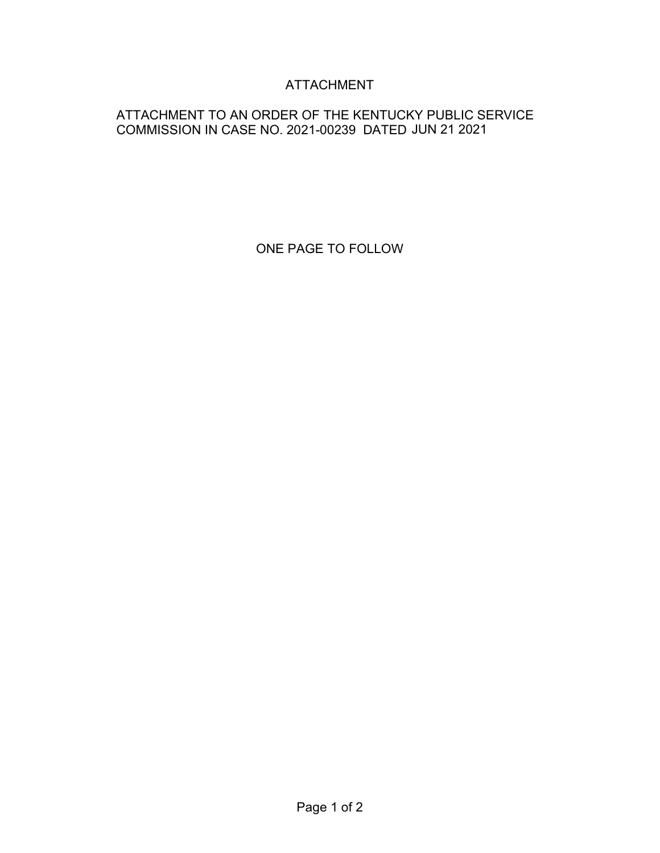# ATTACHMENT

## ATTACHMENT TO AN ORDER OF THE KENTUCKY PUBLIC SERVICE COMMISSION IN CASE NO. 2021-00239 DATED JUN 21 2021

ONE PAGE TO FOLLOW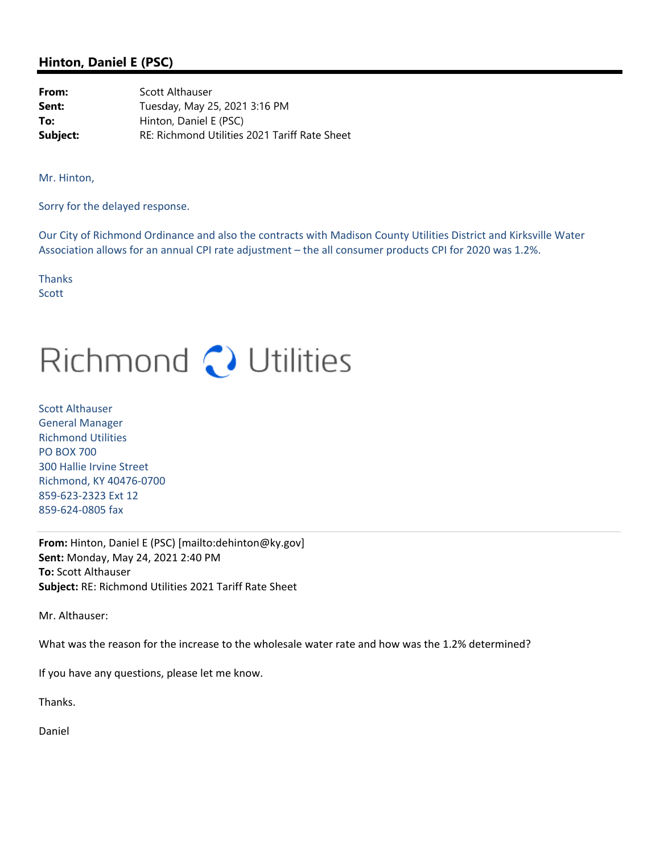#### **Hinton, Daniel E (PSC)**

**From:** Scott Althauser **Sent:** Tuesday, May 25, 2021 3:16 PM **To:** Hinton, Daniel E (PSC) **Subject:** RE: Richmond Utilities 2021 Tariff Rate Sheet

Mr. Hinton,

Sorry for the delayed response.

Our City of Richmond Ordinance and also the contracts with Madison County Utilities District and Kirksville Water Association allows for an annual CPI rate adjustment – the all consumer products CPI for 2020 was 1.2%.

**Thanks Scott** 

# Richmond () Utilities

Scott Althauser General Manager Richmond Utilities PO BOX 700 300 Hallie Irvine Street Richmond, KY 40476‐0700 859‐623‐2323 Ext 12 859‐624‐0805 fax

**From:** Hinton, Daniel E (PSC) [mailto:dehinton@ky.gov] **Sent:** Monday, May 24, 2021 2:40 PM **To:** Scott Althauser **Subject:** RE: Richmond Utilities 2021 Tariff Rate Sheet

Mr. Althauser:

What was the reason for the increase to the wholesale water rate and how was the 1.2% determined?

If you have any questions, please let me know.

Thanks.

Daniel